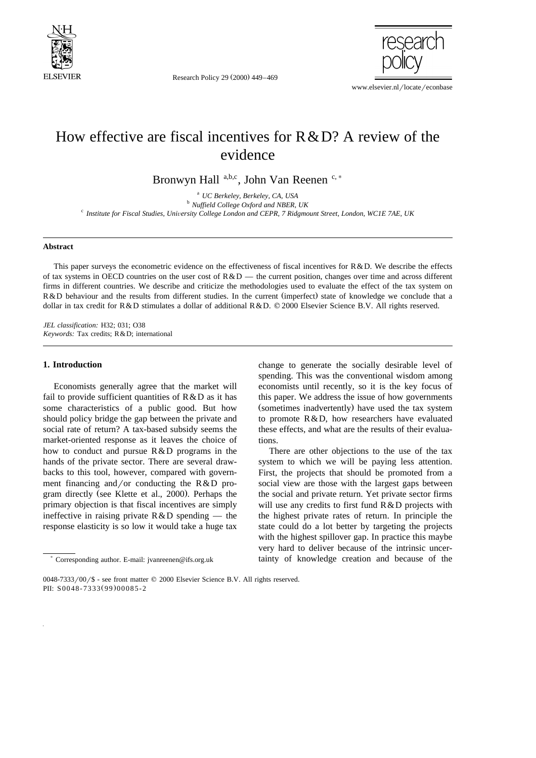

Research Policy 29 (2000) 449-469

www.elsevier.nl/locate/econbase

# How effective are fiscal incentives for  $R & D$ ? A review of the evidence

Bronwyn Hall  $a,b,c$ , John Van Reenen  $c, *$ 

<sup>a</sup> *UC Berkeley, Berkeley, CA, USA*<br><sup>b</sup> *Nuffield College Oxford and NBER, UK*<br><sup>c</sup> *Institute for Fiscal Studies, University College London and CEPR, 7 Ridgmount Street, London, WC1E 7AE, UK* 

#### **Abstract**

This paper surveys the econometric evidence on the effectiveness of fiscal incentives for  $R\&D$ . We describe the effects of tax systems in OECD countries on the user cost of  $R&D$  — the current position, changes over time and across different firms in different countries. We describe and criticize the methodologies used to evaluate the effect of the tax system on  $R&D$  behaviour and the results from different studies. In the current (imperfect) state of knowledge we conclude that a dollar in tax credit for R&D stimulates a dollar of additional R&D. © 2000 Elsevier Science B.V. All rights reserved.

*JEL classification:* H32; 031; O38 *Keywords:* Tax credits; R&D; international

# **1. Introduction**

Economists generally agree that the market will fail to provide sufficient quantities of  $R&D$  as it has some characteristics of a public good. But how should policy bridge the gap between the private and social rate of return? A tax-based subsidy seems the market-oriented response as it leaves the choice of how to conduct and pursue R&D programs in the hands of the private sector. There are several drawbacks to this tool, however, compared with government financing and/or conducting the  $R&D$  program directly (see Klette et al., 2000). Perhaps the primary objection is that fiscal incentives are simply ineffective in raising private  $R&D$  spending — the response elasticity is so low it would take a huge tax change to generate the socially desirable level of spending. This was the conventional wisdom among economists until recently, so it is the key focus of this paper. We address the issue of how governments (sometimes inadvertently) have used the tax system to promote R&D, how researchers have evaluated these effects, and what are the results of their evaluations.

There are other objections to the use of the tax system to which we will be paying less attention. First, the projects that should be promoted from a social view are those with the largest gaps between the social and private return. Yet private sector firms will use any credits to first fund R&D projects with the highest private rates of return. In principle the state could do a lot better by targeting the projects with the highest spillover gap. In practice this maybe very hard to deliver because of the intrinsic uncertainty of knowledge creation and because of the

<sup>)</sup> Corresponding author. E-mail: jvanreenen@ifs.org.uk

 $0048-7333/00$  / \$ - see front matter  $\odot$  2000 Elsevier Science B.V. All rights reserved. PII: S0048-7333(99)00085-2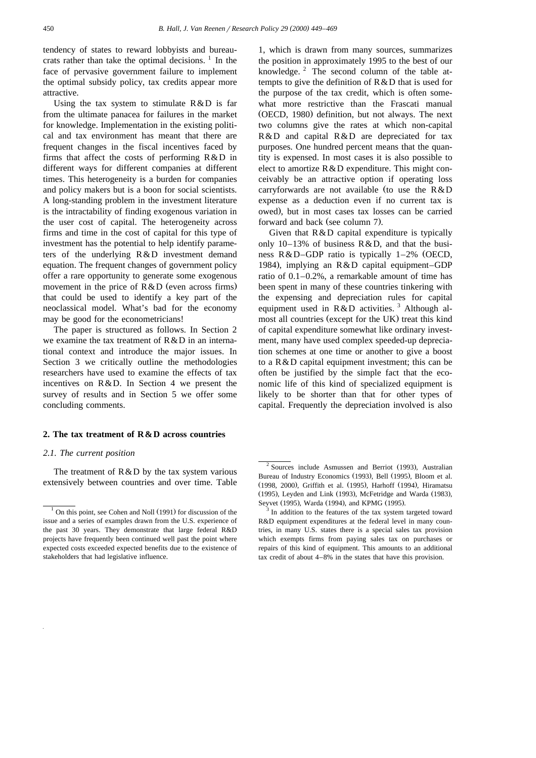tendency of states to reward lobbyists and bureaucrats rather than take the optimal decisions.  $\frac{1}{1}$  In the face of pervasive government failure to implement the optimal subsidy policy, tax credits appear more attractive.

Using the tax system to stimulate  $R&D$  is far from the ultimate panacea for failures in the market for knowledge. Implementation in the existing political and tax environment has meant that there are frequent changes in the fiscal incentives faced by firms that affect the costs of performing R&D in different ways for different companies at different times. This heterogeneity is a burden for companies and policy makers but is a boon for social scientists. A long-standing problem in the investment literature is the intractability of finding exogenous variation in the user cost of capital. The heterogeneity across firms and time in the cost of capital for this type of investment has the potential to help identify parameters of the underlying R&D investment demand equation. The frequent changes of government policy offer a rare opportunity to generate some exogenous movement in the price of  $R&D$  (even across firms) that could be used to identify a key part of the neoclassical model. What's bad for the economy may be good for the econometricians!

The paper is structured as follows. In Section 2 we examine the tax treatment of  $R & D$  in an international context and introduce the major issues. In Section 3 we critically outline the methodologies researchers have used to examine the effects of tax incentives on R&D. In Section 4 we present the survey of results and in Section 5 we offer some concluding comments.

1, which is drawn from many sources, summarizes the position in approximately 1995 to the best of our knowledge.  $2$  The second column of the table attempts to give the definition of R&D that is used for the purpose of the tax credit, which is often somewhat more restrictive than the Frascati manual (OECD, 1980) definition, but not always. The next two columns give the rates at which non-capital R&D and capital R&D are depreciated for tax purposes. One hundred percent means that the quantity is expensed. In most cases it is also possible to elect to amortize R&D expenditure. This might conceivably be an attractive option if operating loss carryforwards are not available (to use the  $R&D$ expense as a deduction even if no current tax is owed), but in most cases tax losses can be carried forward and back (see column 7).

Given that R&D capital expenditure is typically only  $10-13\%$  of business R&D, and that the business  $R&D$ –GDP ratio is typically 1–2% (OECD, 1984), implying an  $R&D$  capital equipment–GDP ratio of 0.1–0.2%, a remarkable amount of time has been spent in many of these countries tinkering with the expensing and depreciation rules for capital equipment used in  $R&D$  activities.<sup>3</sup> Although almost all countries (except for the UK) treat this kind of capital expenditure somewhat like ordinary investment, many have used complex speeded-up depreciation schemes at one time or another to give a boost to a R&D capital equipment investment; this can be often be justified by the simple fact that the economic life of this kind of specialized equipment is likely to be shorter than that for other types of capital. Frequently the depreciation involved is also

# **2. The tax treatment of R&D across countries**

#### *2.1. The current position*

The treatment of  $R & D$  by the tax system various extensively between countries and over time. Table

 $1$  On this point, see Cohen and Noll (1991) for discussion of the issue and a series of examples drawn from the U.S. experience of the past 30 years. They demonstrate that large federal R&D projects have frequently been continued well past the point where expected costs exceeded expected benefits due to the existence of stakeholders that had legislative influence.

 $2$  Sources include Asmussen and Berriot (1993), Australian Bureau of Industry Economics (1993), Bell (1995), Bloom et al. (1998, 2000), Griffith et al. (1995), Harhoff (1994), Hiramatsu (1995), Leyden and Link (1993), McFetridge and Warda (1983), Seyvet (1995), Warda (1994), and KPMG (1995).<br> $3 \text{ In addition to the features of the tax system targeted toward}$ 

R&D equipment expenditures at the federal level in many countries, in many U.S. states there is a special sales tax provision which exempts firms from paying sales tax on purchases or repairs of this kind of equipment. This amounts to an additional tax credit of about 4–8% in the states that have this provision.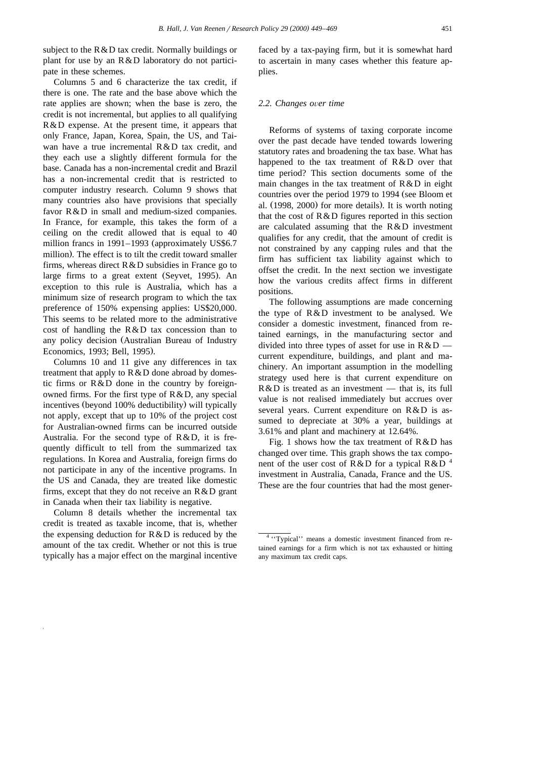subject to the R&D tax credit. Normally buildings or plant for use by an R&D laboratory do not participate in these schemes.

Columns 5 and 6 characterize the tax credit, if there is one. The rate and the base above which the rate applies are shown; when the base is zero, the credit is not incremental, but applies to all qualifying R&D expense. At the present time, it appears that only France, Japan, Korea, Spain, the US, and Taiwan have a true incremental R&D tax credit, and they each use a slightly different formula for the base. Canada has a non-incremental credit and Brazil has a non-incremental credit that is restricted to computer industry research. Column 9 shows that many countries also have provisions that specially favor R&D in small and medium-sized companies. In France, for example, this takes the form of a ceiling on the credit allowed that is equal to 40 million francs in  $1991-1993$  (approximately US\$6.7 million). The effect is to tilt the credit toward smaller firms, whereas direct R&D subsidies in France go to large firms to a great extent (Seyvet, 1995). An exception to this rule is Australia, which has a minimum size of research program to which the tax preference of 150% expensing applies: US\$20,000. This seems to be related more to the administrative cost of handling the R&D tax concession than to any policy decision (Australian Bureau of Industry Economics, 1993; Bell, 1995).

Columns 10 and 11 give any differences in tax treatment that apply to  $R & D$  done abroad by domestic firms or R&D done in the country by foreignowned firms. For the first type of R&D, any special incentives (beyond 100% deductibility) will typically not apply, except that up to 10% of the project cost for Australian-owned firms can be incurred outside Australia. For the second type of R&D, it is frequently difficult to tell from the summarized tax regulations. In Korea and Australia, foreign firms do not participate in any of the incentive programs. In the US and Canada, they are treated like domestic firms, except that they do not receive an  $R&D$  grant in Canada when their tax liability is negative.

Column 8 details whether the incremental tax credit is treated as taxable income, that is, whether the expensing deduction for  $R & D$  is reduced by the amount of the tax credit. Whether or not this is true typically has a major effect on the marginal incentive faced by a tax-paying firm, but it is somewhat hard to ascertain in many cases whether this feature applies.

#### *2.2. Changes o*Õ*er time*

Reforms of systems of taxing corporate income over the past decade have tended towards lowering statutory rates and broadening the tax base. What has happened to the tax treatment of R&D over that time period? This section documents some of the main changes in the tax treatment of  $R & D$  in eight countries over the period 1979 to 1994 (see Bloom et al.  $(1998, 2000)$  for more details). It is worth noting that the cost of  $R&D$  figures reported in this section are calculated assuming that the R&D investment qualifies for any credit, that the amount of credit is not constrained by any capping rules and that the firm has sufficient tax liability against which to offset the credit. In the next section we investigate how the various credits affect firms in different positions.

The following assumptions are made concerning the type of R&D investment to be analysed. We consider a domestic investment, financed from retained earnings, in the manufacturing sector and divided into three types of asset for use in  $R &D$  current expenditure, buildings, and plant and machinery. An important assumption in the modelling strategy used here is that current expenditure on  $R&D$  is treated as an investment — that is, its full value is not realised immediately but accrues over several years. Current expenditure on R&D is assumed to depreciate at 30% a year, buildings at 3.61% and plant and machinery at 12.64%.

Fig. 1 shows how the tax treatment of  $R&D$  has changed over time. This graph shows the tax component of the user cost of R&D for a typical R&D  $^4$ investment in Australia, Canada, France and the US. These are the four countries that had the most gener-

<sup>&</sup>lt;sup>4</sup> "Typical" means a domestic investment financed from retained earnings for a firm which is not tax exhausted or hitting any maximum tax credit caps.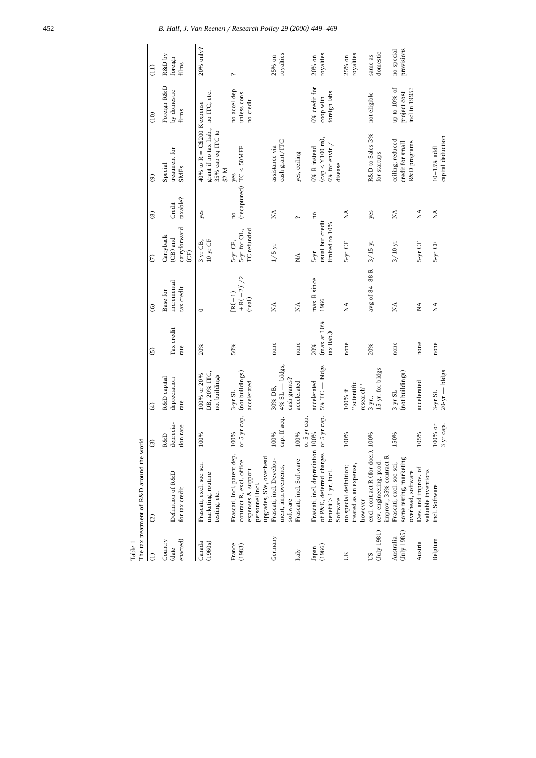|                                                              | The tax treatment of R&D around the world                                                        |                                     |                                                |                                  |                                                        |                                                 |                                                             |                                                                                                  |                                               |                            |
|--------------------------------------------------------------|--------------------------------------------------------------------------------------------------|-------------------------------------|------------------------------------------------|----------------------------------|--------------------------------------------------------|-------------------------------------------------|-------------------------------------------------------------|--------------------------------------------------------------------------------------------------|-----------------------------------------------|----------------------------|
|                                                              | $\widehat{\circ}$                                                                                | $\odot$                             | $\bigoplus$                                    | $\widehat{\circ}$                | $\widehat{\circ}$                                      | $\widehat{c}$                                   | $\circledS$                                                 | $\widehat{\odot}$                                                                                | (10)                                          | $\widehat{1}$              |
| enacted)<br>Country<br>(date                                 | Definition of R&D<br>for tax credit                                                              | deprecia-<br>tion rate<br>R&D       | R&D capital<br>depreciation<br>rate            | Tax credit<br>rate               | incremental<br>tax credit<br>Base for                  | carryforward<br>Carryback<br>$(CB)$ and<br>(CF) | taxable?<br>Credit                                          | treatment for<br>Special<br><b>SMEs</b>                                                          | Foreign R&D<br>by domestic<br>firms           | R&D by<br>foreign<br>films |
| Canada<br>(1960s)                                            | Frascati, excl. soc sci.<br>marketing, routine<br>testing, etc.                                  | 100%                                | DB, 20% ITC,<br>100% or 20%<br>not buildings   | 20%                              | $\circ$                                                | $10~yr$ CF<br>3 yr CB,                          | yes                                                         | grant if no tax liab., no ITC, etc.<br>40% to $R = C$200 Kexpense$<br>35% cap eq ITC to<br>\$2 M |                                               | 20% only?                  |
| France<br>(1983)                                             | Frascati, incl. patent dep.<br>contract R, excl. office<br>expenses & support<br>personnel incl. | or 5 yr cap.<br>100%                | (not buildings)<br>accelerated<br>$3-yr$ SL    | 50%                              | $+ R(-2)/2$<br>$(R(-1))$<br>(real)                     | TC refunded<br>5-yr for OL,<br>5-yr CF,         | $\overline{\mathbf{a}}$                                     | (recaptured) TC < 50MFF<br>yes                                                                   | no accel dep<br>unless cons.<br>no credit     | ç.                         |
| Germany                                                      | upgrades, SW, overhead<br>Frascati, incl. Develop-<br>ment, improvements,<br>software            | cap. If acq.<br>100%                | $4\%$ SL $-$ bldgs,<br>cash grants?<br>30% DB, | none                             | $\mathbb{R}^4$                                         | $1/5$ yr                                        | $\mathbb{R}^4$                                              | cash grant/ITC<br>assistance via                                                                 |                                               | royalties<br>25% on        |
| Italy                                                        | Frascati, incl. Software                                                                         | 100%                                | accelerated                                    | none                             | $\mathbb{E}^{\mathsf{A}}$                              | $\mathbb{E}^{\mathsf{A}}$                       | $\sim$                                                      | yes, ceiling                                                                                     |                                               |                            |
| $\begin{array}{c} \text{Japan} \\ \text{(1966)} \end{array}$ | Frascati, incl. depreciation<br>of P&E, deferred charges<br>benefit $> 1$ yr, incl.<br>Software  | or 5 yr cap.<br>or 5 yr cap<br>100% | 5% TC - bldgs<br>accelerated                   | (max at 10%<br>tax liab.)<br>20% | max R since<br>1966                                    | usual but credit<br>limited to 10%<br>$5 - yr$  | $\overline{\phantom{0}}$                                    | $(cap < Y100 m)$ ,<br>$6\%$ for envir.<br>6% R instead<br>disease                                | 6% credit for<br>foreign labs<br>coop with    | royalties<br>20% on        |
| UK                                                           | treated as an expense,<br>no special definition;<br>however                                      | 100%                                | "scientific<br>research"<br>100% if            | none                             | $\mathbb{E}^{\mathsf{A}}$                              | 5-yr CF                                         | Á                                                           |                                                                                                  |                                               | royalties<br>25% on        |
| (July 1981)                                                  | excl. contract R (for doer),<br>improv., 35% contract R<br>rev. engineering, prod.               | 100%                                | 15-yr. for bldgs<br>$3-yr$ .                   | 20%                              | avg of 84–88 $\rm R$                                   | $3/15$ yr                                       | yes                                                         | R&D to Sales 3%<br>for startups                                                                  | not eligible                                  | domestic<br>same as        |
| $\frac{1}{1}$ (July 1985)<br>Australia<br>Austria            | some testing, marketing<br>Frascati, excl. soc sci,<br>Dev. and improv. of<br>overhead, software | 105%<br>150%                        | (not buildings)<br>accelerated<br>$3-yrS$ L    | none<br>none                     | $\mathbb{A}^{\mathsf{A}}$<br>$\mathbb{A}^{\mathbb{A}}$ | $3/10$ yr<br>5-yr CF                            | $\stackrel{\triangle}{\simeq}$<br>$\mathbb{A}^{\mathbb{A}}$ | ceiling; reduced<br>R&D programs<br>credit for small                                             | up to 10% of<br>incl in 1995?<br>project cost | provisions<br>no special   |
| Belgium                                                      | valuable inventions<br>incl. Software                                                            | 100% or<br>3 yr cap.                | $20 - yr$ $ b$ <i>dgs</i><br>$3-yr$ SL         | none                             | $\mathbb{A}^{\mathbb{A}}$                              | $5-yr$ CF                                       | ÁN                                                          | capital deduction<br>$10 - 15%$ addl                                                             |                                               |                            |

 $\frac{1}{2}$  $x \in \mathbb{R}$ ۰,  $\frac{5}{5}$  $\ddot{\cdot}$ Table 1<br>The tax t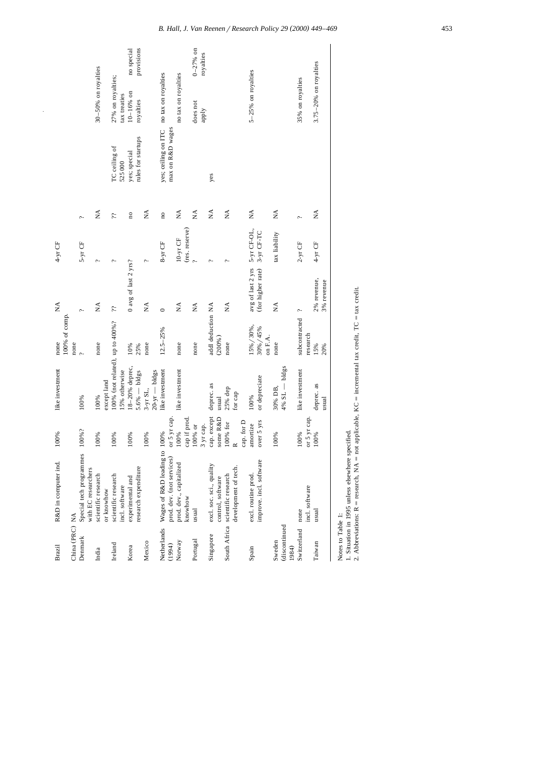| Brazil                | R&D in computer ind.                           | 100%                           | like investment                                  | 100% of comp.<br>none | $\lessapprox$                  | 4-yr CF               |                                |                        |                               |                           |
|-----------------------|------------------------------------------------|--------------------------------|--------------------------------------------------|-----------------------|--------------------------------|-----------------------|--------------------------------|------------------------|-------------------------------|---------------------------|
| China (PRC) NA        |                                                |                                |                                                  | none                  |                                |                       |                                |                        |                               |                           |
| Denmark               | Special tech programmes<br>with EC researchers | 100%?                          | 100%                                             |                       | $\sim$                         | 5-yr CF               | $\sim$                         |                        |                               |                           |
| India                 | scientific research<br>or knowhow              | 100%                           | except land<br>100%                              | none                  | $\tilde{\mathbf{z}}$           | ç.                    | $\mathbb{A}^{\mathbb{A}}$      |                        | 30-50% on royalties           |                           |
| Ireland               | scientific research                            | 100%                           | 100% (not related), up to 400%?<br>15% otherwise |                       | ċ.                             | ç.                    | ò.                             | TC ceiling of          | 27% on royalties;             |                           |
| Korea                 | experimental and<br>incl. software             | 100%                           | 18-20% deprec,                                   | 10%                   | 0 avg of last 2 yrs?           |                       | $\overline{\mathbf{n}}$        | yes; special<br>525000 | $10 - 16%$ on<br>tax treaties | no special                |
|                       | research expenditure                           |                                | $5.6\% - b$ ldgs                                 | 25%                   |                                |                       |                                | rules for startups     | royalties                     | provisions                |
| Mexico                |                                                | 100%                           | $20 - yr$ $ b$ <i>dgs</i><br>3-yr SL,            | none                  | $\mathbb{A}^{\mathsf{A}}$      | ç.                    | $\stackrel{\triangle}{\simeq}$ |                        |                               |                           |
| Netherlands           | Wages of R&D leading to                        | 100%                           | like investment                                  | $12.5 - 25%$          | $\circ$                        | 8-yr CF               | $\mathbf{a}$                   | yes; ceiling on ITC    | no tax on royalties           |                           |
| (1994)                | prod. dev. (not services)                      | or 5 yr cap.                   |                                                  |                       |                                |                       |                                | max on R&D wages       |                               |                           |
| Norway                | prod. dev., capitalized                        | 100%                           | like investment                                  | none                  | $\mathbb{X}^{\mathsf{A}}$      | $10$ yr $\mathrm{CF}$ | $\mathbb{R}^{\mathbb{A}}$      |                        | no tax on royalties           |                           |
|                       | knowhow                                        | cap if prod.                   |                                                  |                       |                                | (res. reserve)        |                                |                        |                               |                           |
| Portugal              | usual                                          | $3$ yr cap. $\,$<br>$100\%$ or |                                                  | none                  | $\stackrel{\triangle}{\simeq}$ |                       | $\mathbb{E}^{\mathsf{A}}$      |                        | does not<br>apply             | $0 - 27%$ on<br>royalties |
| Singapore             | excl. soc. sci., quality                       | cap. except                    | deprec. as                                       | addl deduction NA     |                                | ç.                    | $\mathbb{A}^{\mathsf{A}}$      | yes                    |                               |                           |
|                       | control, software                              | some ${\rm R\&D}$              | usual                                            | (200%)                |                                |                       |                                |                        |                               |                           |
|                       | South Africa scientific research               | $100\%$ for                    | 25% dep                                          | none                  | $\stackrel{\triangle}{\simeq}$ | ç.                    | $\stackrel{\triangle}{\simeq}$ |                        |                               |                           |
|                       | development of tech.                           | $\approx$                      | for cap                                          |                       |                                |                       |                                |                        |                               |                           |
|                       |                                                | cap. for D                     |                                                  |                       |                                |                       |                                |                        |                               |                           |
| Spain                 | excl. routine prod.                            | amortize                       | 100%                                             | 15%/30%,              | avg of last 2 yrs              | 5-yr CF-OL,           | $\mathbb{E}^{\mathbb{E}}$      |                        | 5-25% on royalties            |                           |
|                       | improve. incl. software                        | over 5 yrs                     | or depreciate                                    | 30%/45%<br>on F.A.    | (for higher rate)              | 3-yr CF-TC            |                                |                        |                               |                           |
| Sweden                |                                                | 100%                           | 30% DB,                                          | none                  | $\mathbb{R}^4$                 | tax liability         | $\mathbb{E}$                   |                        |                               |                           |
| discontinued<br>1984) |                                                |                                | $4\%$ SL $-$ bldgs                               |                       |                                |                       |                                |                        |                               |                           |
| Switzerland           | none                                           | 100%                           | like investment                                  | subcontracted         | $\sim$                         | $2-yr$ CF             | $\sim$                         |                        | 35% on royalties              |                           |
|                       | incl. software                                 | or 5 yr cap.                   |                                                  | research              |                                |                       |                                |                        |                               |                           |
| Taiwan                | usual                                          | 100%                           | deprec. as                                       | 15%                   | 2% revenue,                    | $4-yr$ CF             | ÁN                             |                        | 3.75-20% on royalties         |                           |
|                       |                                                |                                | usual                                            | 20%                   | 3% revenue                     |                       |                                |                        |                               |                           |
| Notes to Table 1:     |                                                |                                |                                                  |                       |                                |                       |                                |                        |                               |                           |

Notes to Table 1:

1. Situation in 1995 unless elsewhere specified.

Notes to Table 1:<br>1. Situation in 1995 unless elsewhere specified.<br>2. Abbreviations: R = research, NA = not applicable, KC = incremental tax credit, TC = tax credit. 2. Abbreviations:  $R =$  research,  $NA =$  not applicable,  $KC =$  incremental tax credit,  $TC =$  tax credit.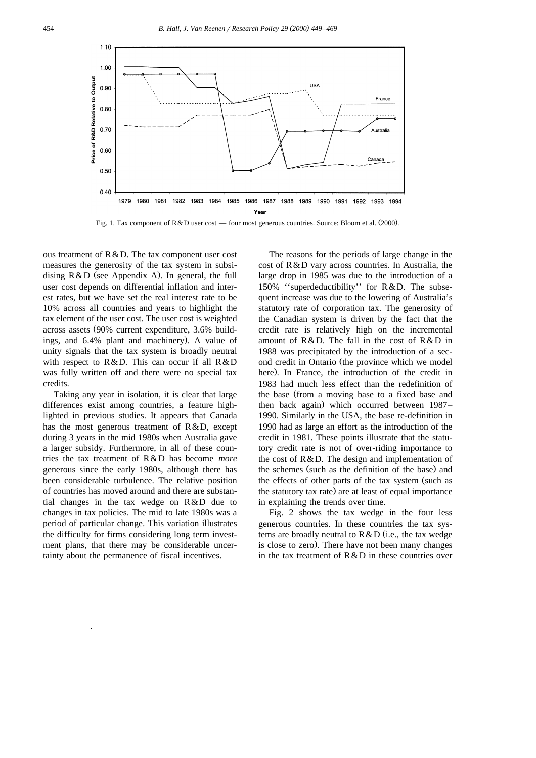

Fig. 1. Tax component of  $R & D$  user cost — four most generous countries. Source: Bloom et al. (2000).

ous treatment of  $R&D$ . The tax component user cost measures the generosity of the tax system in subsidising  $R&D$  (see Appendix A). In general, the full user cost depends on differential inflation and interest rates, but we have set the real interest rate to be 10% across all countries and years to highlight the tax element of the user cost. The user cost is weighted across assets (90% current expenditure, 3.6% buildings, and 6.4% plant and machinery). A value of unity signals that the tax system is broadly neutral with respect to R&D. This can occur if all R&D was fully written off and there were no special tax credits.

Taking any year in isolation, it is clear that large differences exist among countries, a feature highlighted in previous studies. It appears that Canada has the most generous treatment of R&D, except during 3 years in the mid 1980s when Australia gave a larger subsidy. Furthermore, in all of these countries the tax treatment of R&D has become *more* generous since the early 1980s, although there has been considerable turbulence. The relative position of countries has moved around and there are substantial changes in the tax wedge on R&D due to changes in tax policies. The mid to late 1980s was a period of particular change. This variation illustrates the difficulty for firms considering long term investment plans, that there may be considerable uncertainty about the permanence of fiscal incentives.

The reasons for the periods of large change in the cost of R&D vary across countries. In Australia, the large drop in 1985 was due to the introduction of a 150% ''superdeductibility'' for R&D. The subsequent increase was due to the lowering of Australia's statutory rate of corporation tax. The generosity of the Canadian system is driven by the fact that the credit rate is relatively high on the incremental amount of R&D. The fall in the cost of R&D in 1988 was precipitated by the introduction of a second credit in Ontario (the province which we model here). In France, the introduction of the credit in 1983 had much less effect than the redefinition of the base (from a moving base to a fixed base and then back again) which occurred between 1987– 1990. Similarly in the USA, the base re-definition in 1990 had as large an effort as the introduction of the credit in 1981. These points illustrate that the statutory credit rate is not of over-riding importance to the cost of  $R&D$ . The design and implementation of the schemes (such as the definition of the base) and the effects of other parts of the tax system (such as the statutory tax rate) are at least of equal importance in explaining the trends over time.

Fig. 2 shows the tax wedge in the four less generous countries. In these countries the tax systems are broadly neutral to  $R & D$  (i.e., the tax wedge is close to zero). There have not been many changes in the tax treatment of  $R & D$  in these countries over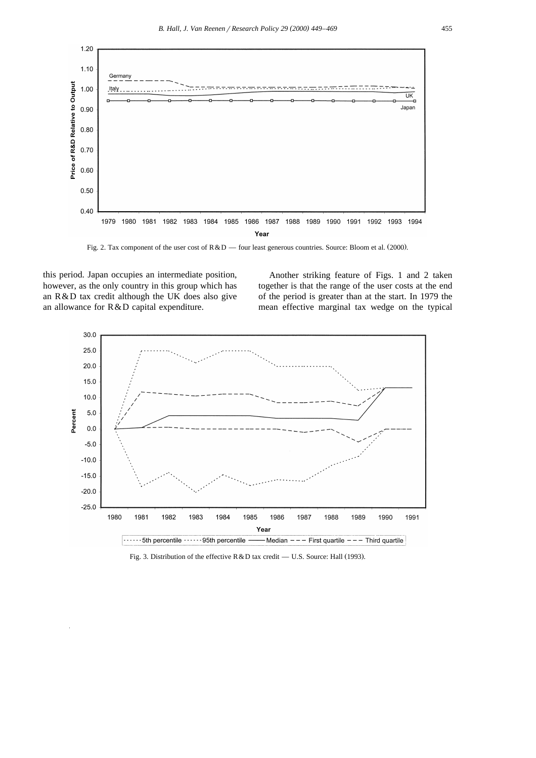

Fig. 2. Tax component of the user cost of  $R&D$  — four least generous countries. Source: Bloom et al. (2000).

this period. Japan occupies an intermediate position, however, as the only country in this group which has an R&D tax credit although the UK does also give an allowance for R&D capital expenditure.

Another striking feature of Figs. 1 and 2 taken together is that the range of the user costs at the end of the period is greater than at the start. In 1979 the mean effective marginal tax wedge on the typical



Fig. 3. Distribution of the effective  $R & D$  tax credit — U.S. Source: Hall (1993).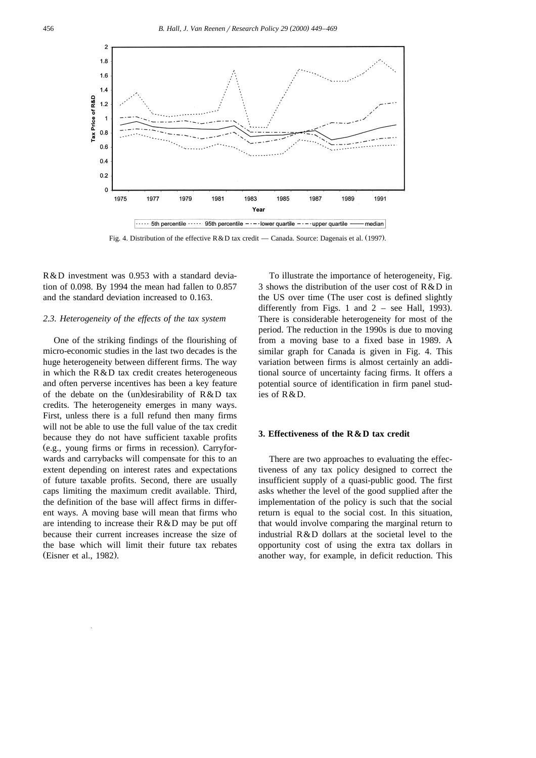

Fig. 4. Distribution of the effective R&D tax credit — Canada. Source: Dagenais et al. (1997).

R&D investment was 0.953 with a standard deviation of 0.098. By 1994 the mean had fallen to 0.857 and the standard deviation increased to 0.163.

## *2.3. Heterogeneity of the effects of the tax system*

One of the striking findings of the flourishing of micro-economic studies in the last two decades is the huge heterogeneity between different firms. The way in which the R&D tax credit creates heterogeneous and often perverse incentives has been a key feature of the debate on the (un)desirability of  $R&D$  tax credits. The heterogeneity emerges in many ways. First, unless there is a full refund then many firms will not be able to use the full value of the tax credit because they do not have sufficient taxable profits  $(e.g., young firms or firms in recession)$ . Carryforwards and carrybacks will compensate for this to an extent depending on interest rates and expectations of future taxable profits. Second, there are usually caps limiting the maximum credit available. Third, the definition of the base will affect firms in different ways. A moving base will mean that firms who are intending to increase their  $R&D$  may be put off because their current increases increase the size of the base which will limit their future tax rebates (Eisner et al., 1982).

To illustrate the importance of heterogeneity, Fig. 3 shows the distribution of the user cost of R&D in the US over time (The user cost is defined slightly differently from Figs. 1 and  $2$  – see Hall, 1993). There is considerable heterogeneity for most of the period. The reduction in the 1990s is due to moving from a moving base to a fixed base in 1989. A similar graph for Canada is given in Fig. 4. This variation between firms is almost certainly an additional source of uncertainty facing firms. It offers a potential source of identification in firm panel studies of R&D.

#### **3. Effectiveness of the R&D tax credit**

There are two approaches to evaluating the effectiveness of any tax policy designed to correct the insufficient supply of a quasi-public good. The first asks whether the level of the good supplied after the implementation of the policy is such that the social return is equal to the social cost. In this situation, that would involve comparing the marginal return to industrial R&D dollars at the societal level to the opportunity cost of using the extra tax dollars in another way, for example, in deficit reduction. This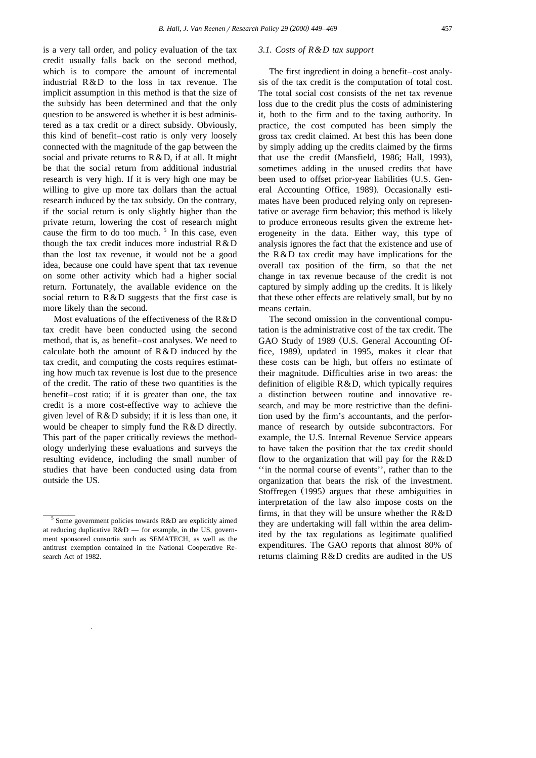is a very tall order, and policy evaluation of the tax credit usually falls back on the second method, which is to compare the amount of incremental industrial R&D to the loss in tax revenue. The implicit assumption in this method is that the size of the subsidy has been determined and that the only question to be answered is whether it is best administered as a tax credit or a direct subsidy. Obviously, this kind of benefit–cost ratio is only very loosely connected with the magnitude of the gap between the social and private returns to  $R & D$ , if at all. It might be that the social return from additional industrial research is very high. If it is very high one may be willing to give up more tax dollars than the actual research induced by the tax subsidy. On the contrary, if the social return is only slightly higher than the private return, lowering the cost of research might cause the firm to do too much.  $5$  In this case, even though the tax credit induces more industrial R&D than the lost tax revenue, it would not be a good idea, because one could have spent that tax revenue on some other activity which had a higher social return. Fortunately, the available evidence on the social return to  $R&D$  suggests that the first case is more likely than the second.

Most evaluations of the effectiveness of the  $R&D$ tax credit have been conducted using the second method, that is, as benefit–cost analyses. We need to calculate both the amount of  $R&D$  induced by the tax credit, and computing the costs requires estimating how much tax revenue is lost due to the presence of the credit. The ratio of these two quantities is the benefit–cost ratio; if it is greater than one, the tax credit is a more cost-effective way to achieve the given level of R&D subsidy; if it is less than one, it would be cheaper to simply fund the R&D directly. This part of the paper critically reviews the methodology underlying these evaluations and surveys the resulting evidence, including the small number of studies that have been conducted using data from outside the US.

#### *3.1. Costs of R&D tax support*

The first ingredient in doing a benefit–cost analysis of the tax credit is the computation of total cost. The total social cost consists of the net tax revenue loss due to the credit plus the costs of administering it, both to the firm and to the taxing authority. In practice, the cost computed has been simply the gross tax credit claimed. At best this has been done by simply adding up the credits claimed by the firms that use the credit (Mansfield, 1986; Hall, 1993), sometimes adding in the unused credits that have been used to offset prior-year liabilities (U.S. General Accounting Office, 1989). Occasionally estimates have been produced relying only on representative or average firm behavior; this method is likely to produce erroneous results given the extreme heterogeneity in the data. Either way, this type of analysis ignores the fact that the existence and use of the R&D tax credit may have implications for the overall tax position of the firm, so that the net change in tax revenue because of the credit is not captured by simply adding up the credits. It is likely that these other effects are relatively small, but by no means certain.

The second omission in the conventional computation is the administrative cost of the tax credit. The GAO Study of 1989 (U.S. General Accounting Office, 1989), updated in 1995, makes it clear that these costs can be high, but offers no estimate of their magnitude. Difficulties arise in two areas: the definition of eligible  $R&D$ , which typically requires a distinction between routine and innovative research, and may be more restrictive than the definition used by the firm's accountants, and the performance of research by outside subcontractors. For example, the U.S. Internal Revenue Service appears to have taken the position that the tax credit should flow to the organization that will pay for the  $R&D$ ''in the normal course of events'', rather than to the organization that bears the risk of the investment. Stoffregen (1995) argues that these ambiguities in interpretation of the law also impose costs on the firms, in that they will be unsure whether the  $R & D$ they are undertaking will fall within the area delimited by the tax regulations as legitimate qualified expenditures. The GAO reports that almost 80% of returns claiming R&D credits are audited in the US

<sup>5</sup> Some government policies towards R&D are explicitly aimed at reducing duplicative  $R&D$  — for example, in the US, government sponsored consortia such as SEMATECH, as well as the antitrust exemption contained in the National Cooperative Research Act of 1982.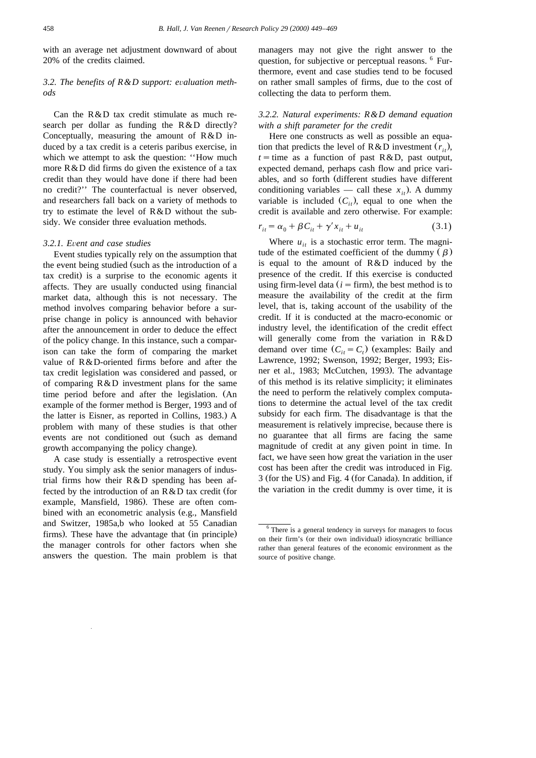with an average net adjustment downward of about 20% of the credits claimed.

# *3.2. The benefits of R&D support: evaluation methods*

Can the R&D tax credit stimulate as much research per dollar as funding the R&D directly? Conceptually, measuring the amount of R&D induced by a tax credit is a ceteris paribus exercise, in which we attempt to ask the question: "How much more  $R&D$  did firms do given the existence of a tax credit than they would have done if there had been no credit?'' The counterfactual is never observed, and researchers fall back on a variety of methods to try to estimate the level of R&D without the subsidy. We consider three evaluation methods.

#### *3.2.1. E*Õ*ent and case studies*

Event studies typically rely on the assumption that the event being studied (such as the introduction of a tax credit) is a surprise to the economic agents it affects. They are usually conducted using financial market data, although this is not necessary. The method involves comparing behavior before a surprise change in policy is announced with behavior after the announcement in order to deduce the effect of the policy change. In this instance, such a comparison can take the form of comparing the market value of R&D-oriented firms before and after the tax credit legislation was considered and passed, or of comparing R&D investment plans for the same time period before and after the legislation. (An example of the former method is Berger, 1993 and of the latter is Eisner, as reported in Collins, 1983.) A. problem with many of these studies is that other events are not conditioned out (such as demand growth accompanying the policy change).

A case study is essentially a retrospective event study. You simply ask the senior managers of industrial firms how their R&D spending has been affected by the introduction of an  $R&D$  tax credit (for example, Mansfield, 1986). These are often combined with an econometric analysis (e.g., Mansfield and Switzer, 1985a,b who looked at 55 Canadian firms). These have the advantage that (in principle) the manager controls for other factors when she answers the question. The main problem is that

managers may not give the right answer to the question, for subjective or perceptual reasons. <sup>6</sup> Furthermore, event and case studies tend to be focused on rather small samples of firms, due to the cost of collecting the data to perform them.

# *3.2.2. Natural experiments: R&D demand equation with a shift parameter for the credit*

Here one constructs as well as possible an equation that predicts the level of  $R & D$  investment  $(r_i)$ ,  $t =$  time as a function of past R&D, past output, expected demand, perhaps cash flow and price variables, and so forth (different studies have different conditioning variables — call these  $x_{it}$ ). A dummy variable is included  $(C_{ii})$ , equal to one when the credit is available and zero otherwise. For example:

$$
r_{it} = \alpha_0 + \beta C_{it} + \gamma' x_{it} + u_{it}
$$
 (3.1)

Where  $u_{it}$  is a stochastic error term. The magnitude of the estimated coefficient of the dummy  $(\beta)$ is equal to the amount of R&D induced by the presence of the credit. If this exercise is conducted using firm-level data  $(i = firm)$ , the best method is to measure the availability of the credit at the firm level, that is, taking account of the usability of the credit. If it is conducted at the macro-economic or industry level, the identification of the credit effect will generally come from the variation in R&D demand over time  $(C_{it} = C_t)$  (examples: Baily and Lawrence, 1992; Swenson, 1992; Berger, 1993; Eisner et al., 1983; McCutchen, 1993). The advantage of this method is its relative simplicity; it eliminates the need to perform the relatively complex computations to determine the actual level of the tax credit subsidy for each firm. The disadvantage is that the measurement is relatively imprecise, because there is no guarantee that all firms are facing the same magnitude of credit at any given point in time. In fact, we have seen how great the variation in the user cost has been after the credit was introduced in Fig. 3 (for the US) and Fig. 4 (for Canada). In addition, if the variation in the credit dummy is over time, it is

<sup>&</sup>lt;sup>6</sup> There is a general tendency in surveys for managers to focus on their firm's (or their own individual) idiosyncratic brilliance rather than general features of the economic environment as the source of positive change.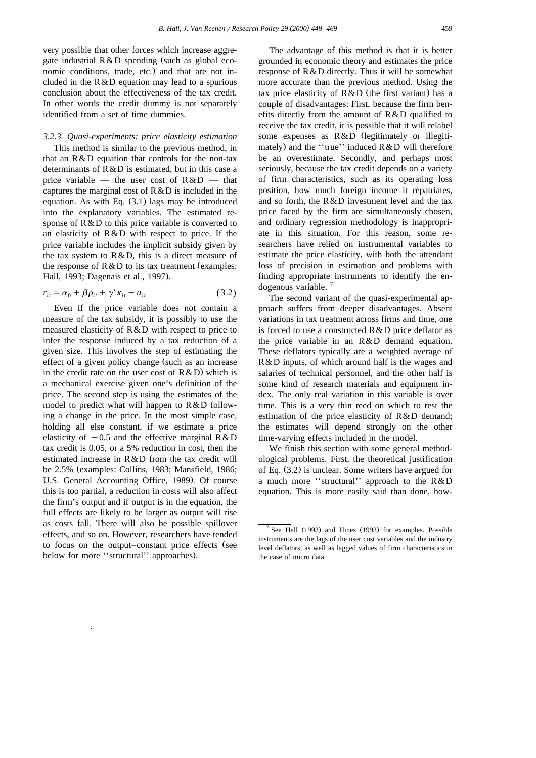very possible that other forces which increase aggregate industrial  $R&D$  spending (such as global economic conditions, trade, etc.) and that are not included in the  $R&D$  equation may lead to a spurious conclusion about the effectiveness of the tax credit. In other words the credit dummy is not separately identified from a set of time dummies.

## *3.2.3. Quasi-experiments: price elasticity estimation*

This method is similar to the previous method, in that an  $R & D$  equation that controls for the non-tax determinants of  $R & D$  is estimated, but in this case a price variable — the user cost of  $R&D$  — that captures the marginal cost of  $R & D$  is included in the equation. As with Eq.  $(3.1)$  lags may be introduced into the explanatory variables. The estimated response of R&D to this price variable is converted to an elasticity of R&D with respect to price. If the price variable includes the implicit subsidy given by the tax system to  $R&D$ , this is a direct measure of the response of  $R & D$  to its tax treatment (examples: Hall, 1993; Dagenais et al., 1997).

$$
r_{it} = \alpha_0 + \beta \rho_{it} + \gamma' x_{it} + u_{it} \tag{3.2}
$$

Even if the price variable does not contain a measure of the tax subsidy, it is possibly to use the measured elasticity of R&D with respect to price to infer the response induced by a tax reduction of a given size. This involves the step of estimating the effect of a given policy change (such as an increase in the credit rate on the user cost of  $R&D$ ) which is a mechanical exercise given one's definition of the price. The second step is using the estimates of the model to predict what will happen to R&D following a change in the price. In the most simple case, holding all else constant, if we estimate a price elasticity of  $-0.5$  and the effective marginal R&D tax credit is 0.05, or a 5% reduction in cost, then the estimated increase in R&D from the tax credit will be 2.5% (examples: Collins, 1983; Mansfield, 1986; U.S. General Accounting Office, 1989). Of course this is too partial, a reduction in costs will also affect the firm's output and if output is in the equation, the full effects are likely to be larger as output will rise as costs fall. There will also be possible spillover effects, and so on. However, researchers have tended to focus on the output–constant price effects (see below for more "structural" approaches).

The advantage of this method is that it is better grounded in economic theory and estimates the price response of R&D directly. Thus it will be somewhat more accurate than the previous method. Using the tax price elasticity of  $R&D$  (the first variant) has a couple of disadvantages: First, because the firm benefits directly from the amount of R&D qualified to receive the tax credit, it is possible that it will relabel some expenses as  $R&D$  (legitimately or illegitimately) and the "true" induced  $R & D$  will therefore be an overestimate. Secondly, and perhaps most seriously, because the tax credit depends on a variety of firm characteristics, such as its operating loss position, how much foreign income it repatriates, and so forth, the R&D investment level and the tax price faced by the firm are simultaneously chosen, and ordinary regression methodology is inappropriate in this situation. For this reason, some researchers have relied on instrumental variables to estimate the price elasticity, with both the attendant loss of precision in estimation and problems with finding appropriate instruments to identify the endogenous variable. <sup>7</sup>

The second variant of the quasi-experimental approach suffers from deeper disadvantages. Absent variations in tax treatment across firms and time, one is forced to use a constructed R&D price deflator as the price variable in an R&D demand equation. These deflators typically are a weighted average of R&D inputs, of which around half is the wages and salaries of technical personnel, and the other half is some kind of research materials and equipment index. The only real variation in this variable is over time. This is a very thin reed on which to rest the estimation of the price elasticity of R&D demand; the estimates will depend strongly on the other time-varying effects included in the model.

We finish this section with some general methodological problems. First, the theoretical justification of Eq.  $(3.2)$  is unclear. Some writers have argued for a much more ''structural'' approach to the R&D equation. This is more easily said than done, how-

<sup>&</sup>lt;sup>7</sup> See Hall (1993) and Hines (1993) for examples. Possible instruments are the lags of the user cost variables and the industry level deflators, as well as lagged values of firm characteristics in the case of micro data.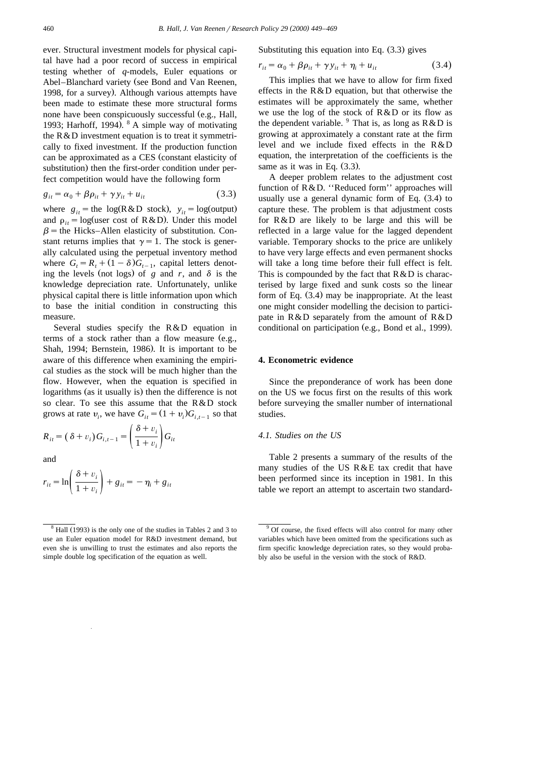ever. Structural investment models for physical capital have had a poor record of success in empirical testing whether of *q*-models, Euler equations or Abel–Blanchard variety (see Bond and Van Reenen, 1998, for a survey). Although various attempts have been made to estimate these more structural forms none have been conspicuously successful (e.g., Hall, 1993; Harhoff, 1994).  $8$  A simple way of motivating the  $R & D$  investment equation is to treat it symmetrically to fixed investment. If the production function can be approximated as a CES (constant elasticity of substitution) then the first-order condition under perfect competition would have the following form

$$
g_{it} = \alpha_0 + \beta \rho_{it} + \gamma y_{it} + u_{it} \tag{3.3}
$$

where  $g_{it}$  = the log(R&D stock),  $y_{it}$  = log(output) and  $\rho_{it} = \log(\text{user cost of } R \& D)$ . Under this model  $\beta$  = the Hicks–Allen elasticity of substitution. Constant returns implies that  $\gamma = 1$ . The stock is generally calculated using the perpetual inventory method where  $G_t = R_t + (1 - \delta)G_{t-1}$ , capital letters denoting the levels (not logs) of  $g$  and  $r$ , and  $\delta$  is the knowledge depreciation rate. Unfortunately, unlike physical capital there is little information upon which to base the initial condition in constructing this measure.

Several studies specify the R&D equation in terms of a stock rather than a flow measure (e.g., Shah, 1994; Bernstein, 1986). It is important to be aware of this difference when examining the empirical studies as the stock will be much higher than the flow. However, when the equation is specified in logarithms (as it usually is) then the difference is not so clear. To see this assume that the R&D stock grows at rate  $v_i$ , we have  $G_{it} = (1 + v_i)G_{i,t-1}$  so that

$$
R_{it} = (\delta + v_i) G_{i, t-1} = \left(\frac{\delta + v_i}{1 + v_i}\right) G_{it}
$$

and

$$
r_{ii} = \ln\left(\frac{\delta + v_i}{1 + v_i}\right) + g_{ii} = -\eta_i + g_{ii}
$$

Substituting this equation into Eq.  $(3.3)$  gives

$$
r_{it} = \alpha_0 + \beta \rho_{it} + \gamma y_{it} + \eta_i + u_{it} \tag{3.4}
$$

This implies that we have to allow for firm fixed effects in the  $R&D$  equation, but that otherwise the estimates will be approximately the same, whether we use the log of the stock of R&D or its flow as the dependent variable. <sup>9</sup> That is, as long as  $R & D$  is growing at approximately a constant rate at the firm level and we include fixed effects in the R&D equation, the interpretation of the coefficients is the same as it was in Eq.  $(3.3)$ .

A deeper problem relates to the adjustment cost function of R&D. ''Reduced form'' approaches will usually use a general dynamic form of Eq.  $(3.4)$  to capture these. The problem is that adjustment costs for R&D are likely to be large and this will be reflected in a large value for the lagged dependent variable. Temporary shocks to the price are unlikely to have very large effects and even permanent shocks will take a long time before their full effect is felt. This is compounded by the fact that  $R & D$  is characterised by large fixed and sunk costs so the linear form of Eq.  $(3.4)$  may be inappropriate. At the least one might consider modelling the decision to participate in R&D separately from the amount of R&D conditional on participation (e.g., Bond et al., 1999).

# **4. Econometric evidence**

Since the preponderance of work has been done on the US we focus first on the results of this work before surveying the smaller number of international studies.

#### *4.1. Studies on the US*

Table 2 presents a summary of the results of the many studies of the US R&E tax credit that have been performed since its inception in 1981. In this table we report an attempt to ascertain two standard-

 $8$  Hall (1993) is the only one of the studies in Tables 2 and 3 to use an Euler equation model for R&D investment demand, but even she is unwilling to trust the estimates and also reports the simple double log specification of the equation as well.

<sup>&</sup>lt;sup>9</sup> Of course, the fixed effects will also control for many other variables which have been omitted from the specifications such as firm specific knowledge depreciation rates, so they would probably also be useful in the version with the stock of R&D.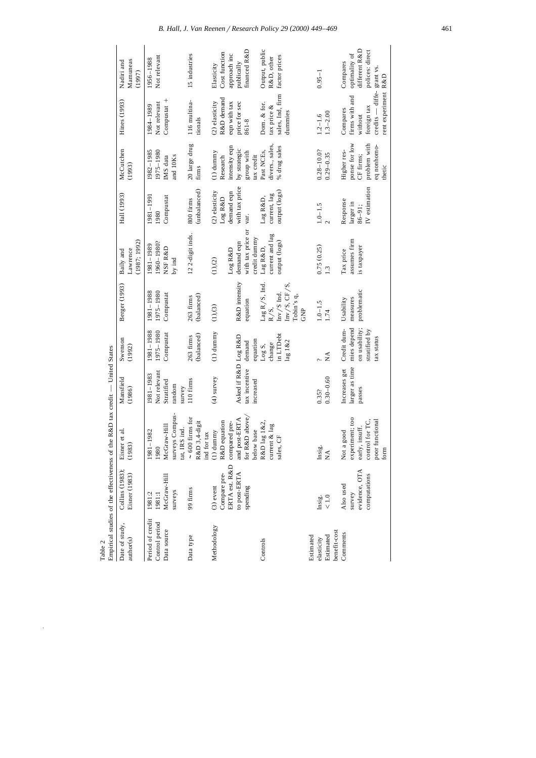| Date of study,<br>author(s)                          | Collins (1983);<br>Eisner (1983)                     | Eisner et al.<br>(198)                                                                             | Mansfield<br>(1986)                                | Swenson<br>(1992)                                                          | Berger (1993)                                                                                                     | (1987; 1992)<br>Lawrence<br>Baily and           | Hall (1993)                                          | McCutchen<br>(1993)                                                                | Hines (1993)                                                                                              | Mamuneas<br>Nadiri and<br>(1997)                              |
|------------------------------------------------------|------------------------------------------------------|----------------------------------------------------------------------------------------------------|----------------------------------------------------|----------------------------------------------------------------------------|-------------------------------------------------------------------------------------------------------------------|-------------------------------------------------|------------------------------------------------------|------------------------------------------------------------------------------------|-----------------------------------------------------------------------------------------------------------|---------------------------------------------------------------|
| Period of credit<br>Control period                   | 1981:2<br>1981:1                                     | $-1982$<br>1980<br>1981                                                                            | Not relevant<br>[981-1983]                         | 1975-1980<br>8861-1861                                                     | 981-1988<br>1975-1980                                                                                             | 1960-1980?<br>1981-1989                         | $-199$<br>1980                                       | 1982-1985<br>1975-1980                                                             | Not relevant<br>1984-1989                                                                                 | Not relevant<br>1956-1988                                     |
| Data source                                          | McGraw-Hill<br>surveys                               | surveys Compus-<br>McGraw-Hill<br>tat, IRS ind.                                                    | Stratified<br>random<br>survey                     | Compustat                                                                  | Compustat                                                                                                         | NSF R&D<br>by ind                               | Compustat                                            | and 10Ks<br>IMS data                                                               | Compustat +                                                                                               |                                                               |
| Data type                                            | 99 firms                                             | $\sim 600$ firms for<br>R&D 3,4-digit<br>ind for tax                                               | 110 firms                                          | (balanced)<br>263 firms                                                    | (balanced)<br>263 firms                                                                                           | 12 2-digit inds.                                | (unbalanced)<br>800 firms                            | 20 large drug<br>firms                                                             | 116 multina-<br>tionals                                                                                   | 15 industries                                                 |
| Methodology                                          | ERTA est. R&D<br>Compare pre-<br>$(3)$ event         | R&D equation<br>compared pre-<br>$(1)$ dummy                                                       | $(4)$ survey                                       | $(1)$ dummy                                                                | (1)(3)                                                                                                            | Log R&D<br>(1)(2)                               | (2) elasticity<br>demand eqn<br>Log R&D              | intensity eqn<br>$(1)$ dummy<br>Research                                           | R&D demand<br>(2) elasticity<br>eqn with tax                                                              | Cost function<br>approach inc<br>Elasticity                   |
|                                                      | to post-ERTA<br>spending                             | for R&D above<br>and post-ERTA<br>below base                                                       | Asked if R&D Log R&D<br>tax incentive<br>increased | equation<br>demand                                                         | R&D intensity<br>equation                                                                                         | with tax price or<br>credit dummy<br>demand eqn | with tax price<br>var.                               | by strategic<br>group with<br>tax credit                                           | price for sec<br>861-8                                                                                    | financed R&D<br>publically                                    |
| Controls                                             |                                                      | $\log 1 & 2.$<br>current & lag<br>ö<br>R&D<br>sales,                                               |                                                    | in LTDebt<br>$lag$ $1 & 2$<br>change<br>$Log S$ ,                          | Lag R/S, Ind.<br>$\text{Inv}/\text{S}$ , $\text{CF}/\text{S}$<br>$Inv/S$ Ind.<br>Tobin's q,<br>R/S,<br><b>GXP</b> | current and lag<br>output (logs)<br>Lag R&D,    | output (logs)<br>current, lag<br>Lag R&D,            | divers., sales,<br>% drug sales<br>Past NCEs,                                      | sales, Ind, firm<br>Dom. & for.<br>tax price $\&$<br>dummies                                              | Output, public<br>factor prices<br>R&D, other                 |
| benefit-cost<br>Estimated<br>Estimated<br>elasticity | $<1.0\,$<br>Insig.                                   | Insig.<br>$\stackrel{\triangle}{\simeq}$                                                           | $0.30 - 0.60$<br>0.35?                             | $\stackrel{\triangle}{\simeq}$                                             | $1.0 - 1.5$<br>1.74                                                                                               | 0.75(0.25)<br>1.3                               | $1.0 - 1.5$<br>$\mathbf{C}$                          | $0.28 - 10.0?$<br>$0.29 - 0.35$                                                    | $1.3 - 2.00$<br>$1.2 - 1.6$                                                                               | $0.95 - 1$                                                    |
| Comments                                             | evidence, OTA<br>computations<br>Also used<br>survey | experiment; too<br>poor functional<br>control for TC,<br>early, insuff.<br>l good<br>Not a<br>form | larger as time<br>Increases get<br>passes          | on usability;<br>mies depend<br>Credit dum-<br>stratified by<br>tax status | problematic<br>measures<br>Usability                                                                              | assumes firm<br>is taxpayer<br>Tax price        | IV estimation<br>Response<br>larger in<br>$86 - 91;$ | ponse for low<br>problem with<br>eq nonhomo-<br>Higher res-<br>CF firms;<br>thetic | credits — diffe- grant vs.<br>rent experiment R&D<br>firms with and<br>foreign tax<br>Compares<br>without | different R&D<br>polices: direct<br>optimality of<br>Compares |

Table 2<br>Empirical studies of the effectiveness of the R&D tax credit — United States<br>  $\blacksquare$ Empirical studies of the effectiveness of the R&D tax credit — United States

*B. Hall, J. Van Reenen / Research Policy 29 (2000) 449–469 ( )* 461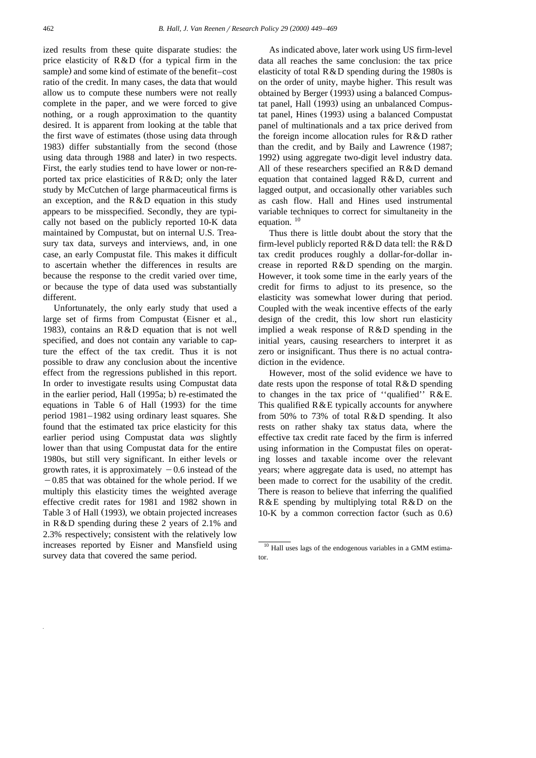ized results from these quite disparate studies: the price elasticity of  $R&D$  (for a typical firm in the sample) and some kind of estimate of the benefit–cost ratio of the credit. In many cases, the data that would allow us to compute these numbers were not really complete in the paper, and we were forced to give nothing, or a rough approximation to the quantity desired. It is apparent from looking at the table that the first wave of estimates (those using data through 1983) differ substantially from the second (those using data through 1988 and later) in two respects. First, the early studies tend to have lower or non-reported tax price elasticities of  $R&D$ ; only the later study by McCutchen of large pharmaceutical firms is an exception, and the R&D equation in this study appears to be misspecified. Secondly, they are typically not based on the publicly reported 10-K data maintained by Compustat, but on internal U.S. Treasury tax data, surveys and interviews, and, in one case, an early Compustat file. This makes it difficult to ascertain whether the differences in results are because the response to the credit varied over time, or because the type of data used was substantially different.

Unfortunately, the only early study that used a large set of firms from Compustat (Eisner et al., 1983), contains an  $R&D$  equation that is not well specified, and does not contain any variable to capture the effect of the tax credit. Thus it is not possible to draw any conclusion about the incentive effect from the regressions published in this report. In order to investigate results using Compustat data in the earlier period, Hall (1995a; b) re-estimated the equations in Table 6 of Hall (1993) for the time period 1981–1982 using ordinary least squares. She found that the estimated tax price elasticity for this earlier period using Compustat data *was* slightly lower than that using Compustat data for the entire 1980s, but still very significant. In either levels or growth rates, it is approximately  $-0.6$  instead of the  $-0.85$  that was obtained for the whole period. If we multiply this elasticity times the weighted average effective credit rates for 1981 and 1982 shown in Table 3 of Hall (1993), we obtain projected increases in R&D spending during these 2 years of 2.1% and 2.3% respectively; consistent with the relatively low increases reported by Eisner and Mansfield using survey data that covered the same period.

As indicated above, later work using US firm-level data all reaches the same conclusion: the tax price elasticity of total  $R&D$  spending during the 1980s is on the order of unity, maybe higher. This result was obtained by Berger (1993) using a balanced Compustat panel, Hall (1993) using an unbalanced Compustat panel, Hines (1993) using a balanced Compustat panel of multinationals and a tax price derived from the foreign income allocation rules for R&D rather than the credit, and by Baily and Lawrence (1987; 1992) using aggregate two-digit level industry data. All of these researchers specified an R&D demand equation that contained lagged R&D, current and lagged output, and occasionally other variables such as cash flow. Hall and Hines used instrumental variable techniques to correct for simultaneity in the equation.  $10$ 

Thus there is little doubt about the story that the firm-level publicly reported  $R & D$  data tell: the  $R & D$ tax credit produces roughly a dollar-for-dollar increase in reported R&D spending on the margin. However, it took some time in the early years of the credit for firms to adjust to its presence, so the elasticity was somewhat lower during that period. Coupled with the weak incentive effects of the early design of the credit, this low short run elasticity implied a weak response of R&D spending in the initial years, causing researchers to interpret it as zero or insignificant. Thus there is no actual contradiction in the evidence.

However, most of the solid evidence we have to date rests upon the response of total R&D spending to changes in the tax price of ''qualified'' R&E. This qualified  $R & E$  typically accounts for anywhere from 50% to 73% of total R&D spending. It also rests on rather shaky tax status data, where the effective tax credit rate faced by the firm is inferred using information in the Compustat files on operating losses and taxable income over the relevant years; where aggregate data is used, no attempt has been made to correct for the usability of the credit. There is reason to believe that inferring the qualified R&E spending by multiplying total R&D on the 10-K by a common correction factor (such as  $0.6$ )

 $10$  Hall uses lags of the endogenous variables in a GMM estimator.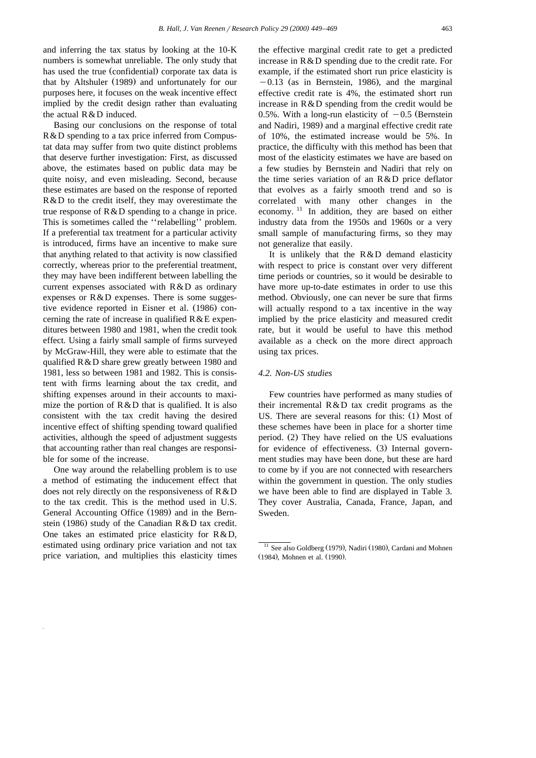and inferring the tax status by looking at the 10-K numbers is somewhat unreliable. The only study that has used the true (confidential) corporate tax data is that by Altshuler (1989) and unfortunately for our purposes here, it focuses on the weak incentive effect implied by the credit design rather than evaluating the actual R&D induced.

Basing our conclusions on the response of total R & D spending to a tax price inferred from Compustat data may suffer from two quite distinct problems that deserve further investigation: First, as discussed above, the estimates based on public data may be quite noisy, and even misleading. Second, because these estimates are based on the response of reported R&D to the credit itself, they may overestimate the true response of  $R & D$  spending to a change in price. This is sometimes called the ''relabelling'' problem. If a preferential tax treatment for a particular activity is introduced, firms have an incentive to make sure that anything related to that activity is now classified correctly, whereas prior to the preferential treatment, they may have been indifferent between labelling the current expenses associated with  $R&D$  as ordinary expenses or R&D expenses. There is some suggestive evidence reported in Eisner et al. (1986) concerning the rate of increase in qualified  $R &E$  expenditures between 1980 and 1981, when the credit took effect. Using a fairly small sample of firms surveyed by McGraw-Hill, they were able to estimate that the qualified R&D share grew greatly between 1980 and 1981, less so between 1981 and 1982. This is consistent with firms learning about the tax credit, and shifting expenses around in their accounts to maximize the portion of  $R&D$  that is qualified. It is also consistent with the tax credit having the desired incentive effect of shifting spending toward qualified activities, although the speed of adjustment suggests that accounting rather than real changes are responsible for some of the increase.

One way around the relabelling problem is to use a method of estimating the inducement effect that does not rely directly on the responsiveness of  $R&D$ to the tax credit. This is the method used in U.S. General Accounting Office (1989) and in the Bernstein (1986) study of the Canadian  $R&D$  tax credit. One takes an estimated price elasticity for R&D, estimated using ordinary price variation and not tax price variation, and multiplies this elasticity times the effective marginal credit rate to get a predicted increase in R&D spending due to the credit rate. For example, if the estimated short run price elasticity is  $-0.13$  (as in Bernstein, 1986), and the marginal effective credit rate is 4%, the estimated short run increase in  $R & D$  spending from the credit would be 0.5%. With a long-run elasticity of  $-0.5$  (Bernstein and Nadiri, 1989) and a marginal effective credit rate of 10%, the estimated increase would be 5%. In practice, the difficulty with this method has been that most of the elasticity estimates we have are based on a few studies by Bernstein and Nadiri that rely on the time series variation of an R&D price deflator that evolves as a fairly smooth trend and so is correlated with many other changes in the economy. <sup>11</sup> In addition, they are based on either industry data from the 1950s and 1960s or a very small sample of manufacturing firms, so they may not generalize that easily.

It is unlikely that the R&D demand elasticity with respect to price is constant over very different time periods or countries, so it would be desirable to have more up-to-date estimates in order to use this method. Obviously, one can never be sure that firms will actually respond to a tax incentive in the way implied by the price elasticity and measured credit rate, but it would be useful to have this method available as a check on the more direct approach using tax prices.

## *4.2. Non-US studies*

Few countries have performed as many studies of their incremental R&D tax credit programs as the US. There are several reasons for this:  $(1)$  Most of these schemes have been in place for a shorter time period. (2) They have relied on the US evaluations for evidence of effectiveness. (3) Internal government studies may have been done, but these are hard to come by if you are not connected with researchers within the government in question. The only studies we have been able to find are displayed in Table 3. They cover Australia, Canada, France, Japan, and Sweden.

 $11$  See also Goldberg (1979), Nadiri (1980), Cardani and Mohnen (1984), Mohnen et al. (1990).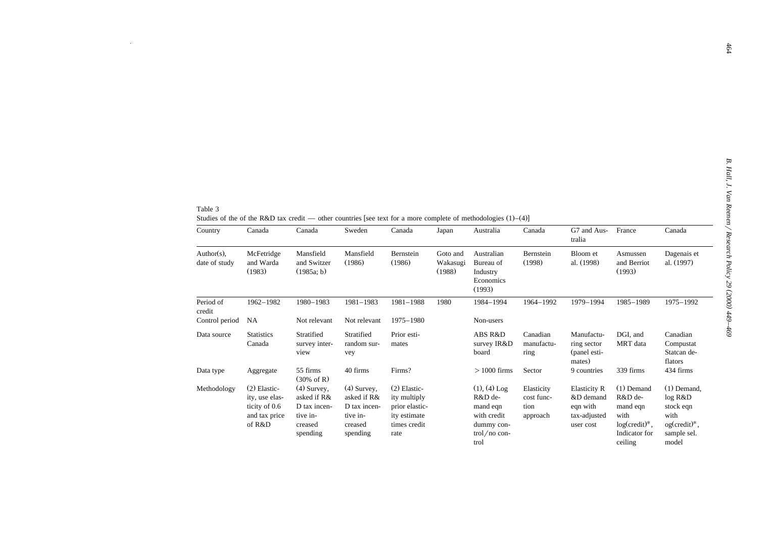| Table 3<br>Country                    | Canada                                                                       | Studies of the of the R&D tax credit — other countries [see text for a more complete of methodologies $(1)$ – $(4)$ ]<br>Canada | Sweden                                                                          | Canada                                                                                   | Japan                          | Australia                                                                                     | Canada                                       | G7 and Aus-<br>tralia                                                     | France                                                                                      | Canada                                                                                   |
|---------------------------------------|------------------------------------------------------------------------------|---------------------------------------------------------------------------------------------------------------------------------|---------------------------------------------------------------------------------|------------------------------------------------------------------------------------------|--------------------------------|-----------------------------------------------------------------------------------------------|----------------------------------------------|---------------------------------------------------------------------------|---------------------------------------------------------------------------------------------|------------------------------------------------------------------------------------------|
| Author(s),<br>date of study           | McFetridge<br>and Warda<br>(1983)                                            | Mansfield<br>and Switzer<br>(1985a; b)                                                                                          | Mansfield<br>(1986)                                                             | Bernstein<br>(1986)                                                                      | Goto and<br>Wakasugi<br>(1988) | Australian<br>Bureau of<br>Industry<br>Economics<br>(1993)                                    | Bernstein<br>(1998)                          | Bloom et<br>al. (1998)                                                    | Asmussen<br>and Berriot<br>(1993)                                                           | Dagenais et<br>al. (1997)                                                                |
| Period of<br>credit<br>Control period | 1962-1982<br>NA                                                              | 1980-1983<br>Not relevant                                                                                                       | 1981-1983<br>Not relevant                                                       | 1981-1988<br>1975-1980                                                                   | 1980                           | 1984-1994<br>Non-users                                                                        | 1964-1992                                    | 1979-1994                                                                 | 1985-1989                                                                                   | 1975-1992                                                                                |
| Data source                           | <b>Statistics</b><br>Canada                                                  | Stratified<br>survey inter-<br>view                                                                                             | Stratified<br>random sur-<br>vey                                                | Prior esti-<br>mates                                                                     |                                | ABS R&D<br>survey IR&D<br>board                                                               | Canadian<br>manufactu-<br>ring               | Manufactu-<br>ring sector<br>(panel esti-<br>mates)                       | DGI, and<br>MRT data                                                                        | Canadian<br>Compustat<br>Statcan de-<br>flators                                          |
| Data type                             | Aggregate                                                                    | 55 firms<br>$(30\% \text{ of R})$                                                                                               | 40 firms                                                                        | Firms?                                                                                   |                                | $>1000$ firms                                                                                 | Sector                                       | 9 countries                                                               | 339 firms                                                                                   | 434 firms                                                                                |
| Methodology                           | $(2)$ Elastic-<br>ity, use elas-<br>ticity of 0.6<br>and tax price<br>of R&D | $(4)$ Survey,<br>asked if R&<br>D tax incen-<br>tive in-<br>creased<br>spending                                                 | $(4)$ Survey,<br>asked if R&<br>D tax incen-<br>tive in-<br>creased<br>spending | $(2)$ Elastic-<br>ity multiply<br>prior elastic-<br>ity estimate<br>times credit<br>rate |                                | $(1)$ , $(4)$ Log<br>R&D de-<br>mand eqn<br>with credit<br>dummy con-<br>trol/no con-<br>trol | Elasticity<br>cost func-<br>tion<br>approach | <b>Elasticity R</b><br>&D demand<br>eqn with<br>tax-adjusted<br>user cost | $(1)$ Demand<br>R&D de-<br>mand eqn<br>with<br>$log(credit)*$ ,<br>Indicator for<br>ceiling | $(1)$ Demand,<br>log R&D<br>stock eqn<br>with<br>$og(credit)*$ ,<br>sample sel.<br>model |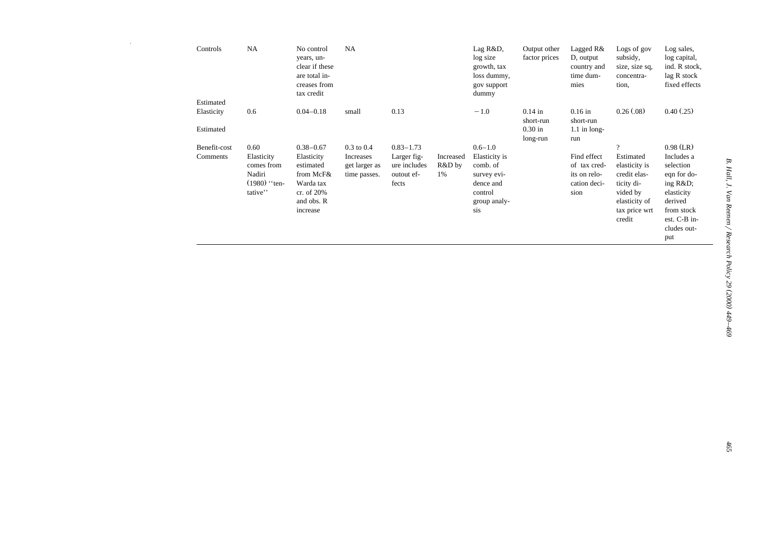| Controls<br>Estimated | NA                                                              | No control<br>years, un-<br>clear if these<br>are total in-<br>creases from<br>tax credit | <b>NA</b>                                  |                                                    |                           | Lag R&D,<br>log size<br>growth, tax<br>loss dummy,<br>gov support<br>dummy              | Output other<br>factor prices | Lagged $R\&$<br>D, output<br>country and<br>time dum-<br>mies       | Logs of gov<br>subsidy,<br>size, size sq,<br>concentra-<br>tion,                                                 | Log sales,<br>log capital,<br>ind. R stock,<br>lag R stock<br>fixed effects                                                    |
|-----------------------|-----------------------------------------------------------------|-------------------------------------------------------------------------------------------|--------------------------------------------|----------------------------------------------------|---------------------------|-----------------------------------------------------------------------------------------|-------------------------------|---------------------------------------------------------------------|------------------------------------------------------------------------------------------------------------------|--------------------------------------------------------------------------------------------------------------------------------|
| Elasticity            | 0.6                                                             | $0.04 - 0.18$                                                                             | small                                      | 0.13                                               |                           | $-1.0$                                                                                  | $0.14$ in<br>short-run        | $0.16$ in<br>short-run                                              | 0.26(0.08)                                                                                                       | 0.40(0.25)                                                                                                                     |
| Estimated             |                                                                 |                                                                                           |                                            |                                                    |                           |                                                                                         | $0.30$ in<br>long-run         | $1.1$ in long-<br>run                                               |                                                                                                                  |                                                                                                                                |
| Benefit-cost          | 0.60                                                            | $0.38 - 0.67$                                                                             | $0.3$ to $0.4$                             | $0.83 - 1.73$                                      |                           | $0.6 - 1.0$                                                                             |                               |                                                                     | 9                                                                                                                | $0.98$ (LR)                                                                                                                    |
| Comments              | Elasticity<br>comes from<br>Nadiri<br>$(1980)$ "ten-<br>tative" | Elasticity<br>estimated<br>from McF&<br>Warda tax<br>cr. of 20%<br>and obs. R<br>increase | Increases<br>get larger as<br>time passes. | Larger fig-<br>ure includes<br>outout ef-<br>fects | Increased<br>R&D by<br>1% | Elasticity is<br>comb. of<br>survey evi-<br>dence and<br>control<br>group analy-<br>sis |                               | Find effect<br>of tax cred-<br>its on relo-<br>cation deci-<br>sion | Estimated<br>elasticity is<br>credit elas-<br>ticity di-<br>vided by<br>elasticity of<br>tax price wrt<br>credit | Includes a<br>selection<br>eqn for do-<br>ing R&D<br>elasticity<br>derived<br>from stock<br>est. C-B in-<br>cludes out-<br>put |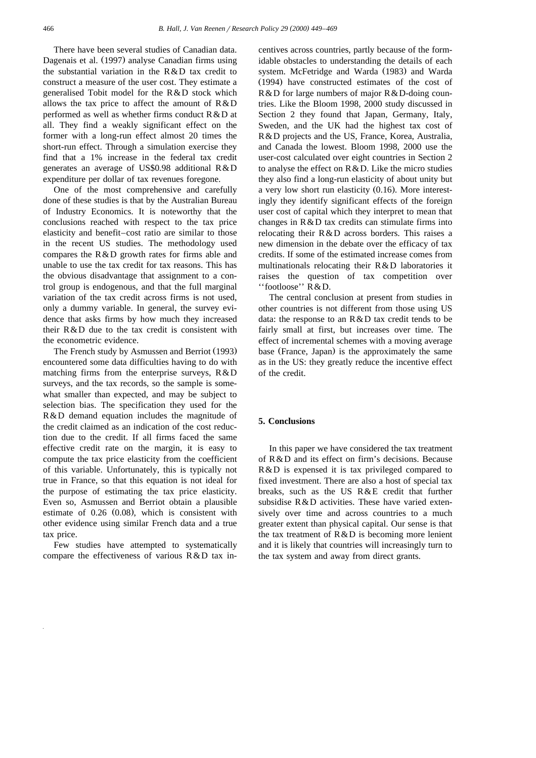There have been several studies of Canadian data. Dagenais et al. (1997) analyse Canadian firms using the substantial variation in the R&D tax credit to construct a measure of the user cost. They estimate a generalised Tobit model for the R&D stock which allows the tax price to affect the amount of  $R&D$ performed as well as whether firms conduct R&D at all. They find a weakly significant effect on the former with a long-run effect almost 20 times the short-run effect. Through a simulation exercise they find that a 1% increase in the federal tax credit generates an average of US\$0.98 additional R&D expenditure per dollar of tax revenues foregone.

One of the most comprehensive and carefully done of these studies is that by the Australian Bureau of Industry Economics. It is noteworthy that the conclusions reached with respect to the tax price elasticity and benefit–cost ratio are similar to those in the recent US studies. The methodology used compares the R&D growth rates for firms able and unable to use the tax credit for tax reasons. This has the obvious disadvantage that assignment to a control group is endogenous, and that the full marginal variation of the tax credit across firms is not used, only a dummy variable. In general, the survey evidence that asks firms by how much they increased their R&D due to the tax credit is consistent with the econometric evidence.

The French study by Asmussen and Berriot (1993) encountered some data difficulties having to do with matching firms from the enterprise surveys,  $R & D$ surveys, and the tax records, so the sample is somewhat smaller than expected, and may be subject to selection bias. The specification they used for the R&D demand equation includes the magnitude of the credit claimed as an indication of the cost reduction due to the credit. If all firms faced the same effective credit rate on the margin, it is easy to compute the tax price elasticity from the coefficient of this variable. Unfortunately, this is typically not true in France, so that this equation is not ideal for the purpose of estimating the tax price elasticity. Even so, Asmussen and Berriot obtain a plausible estimate of  $0.26$   $(0.08)$ , which is consistent with other evidence using similar French data and a true tax price.

Few studies have attempted to systematically compare the effectiveness of various R&D tax incentives across countries, partly because of the formidable obstacles to understanding the details of each system. McFetridge and Warda (1983) and Warda  $(1994)$  have constructed estimates of the cost of R&D for large numbers of major R&D-doing countries. Like the Bloom 1998, 2000 study discussed in Section 2 they found that Japan, Germany, Italy, Sweden, and the UK had the highest tax cost of R&D projects and the US, France, Korea, Australia, and Canada the lowest. Bloom 1998, 2000 use the user-cost calculated over eight countries in Section 2 to analyse the effect on R&D. Like the micro studies they also find a long-run elasticity of about unity but a very low short run elasticity  $(0.16)$ . More interestingly they identify significant effects of the foreign user cost of capital which they interpret to mean that changes in  $R&D$  tax credits can stimulate firms into relocating their R&D across borders. This raises a new dimension in the debate over the efficacy of tax credits. If some of the estimated increase comes from multinationals relocating their R&D laboratories it raises the question of tax competition over ''footloose'' R&D.

The central conclusion at present from studies in other countries is not different from those using US data: the response to an R&D tax credit tends to be fairly small at first, but increases over time. The effect of incremental schemes with a moving average base (France, Japan) is the approximately the same as in the US: they greatly reduce the incentive effect of the credit.

# **5. Conclusions**

In this paper we have considered the tax treatment of R&D and its effect on firm's decisions. Because R&D is expensed it is tax privileged compared to fixed investment. There are also a host of special tax breaks, such as the US R&E credit that further subsidise R&D activities. These have varied extensively over time and across countries to a much greater extent than physical capital. Our sense is that the tax treatment of  $R&D$  is becoming more lenient and it is likely that countries will increasingly turn to the tax system and away from direct grants.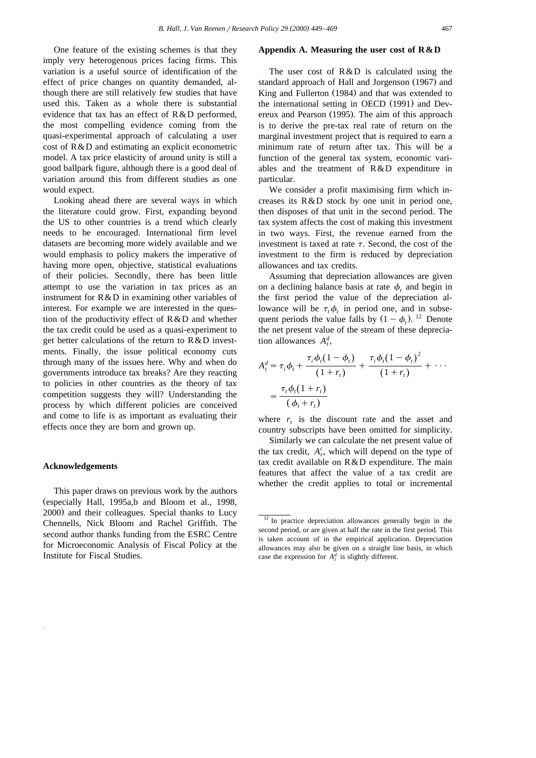One feature of the existing schemes is that they imply very heterogenous prices facing firms. This variation is a useful source of identification of the effect of price changes on quantity demanded, although there are still relatively few studies that have used this. Taken as a whole there is substantial evidence that tax has an effect of R&D performed, the most compelling evidence coming from the quasi-experimental approach of calculating a user cost of R&D and estimating an explicit econometric model. A tax price elasticity of around unity is still a good ballpark figure, although there is a good deal of variation around this from different studies as one would expect.

Looking ahead there are several ways in which the literature could grow. First, expanding beyond the US to other countries is a trend which clearly needs to be encouraged. International firm level datasets are becoming more widely available and we would emphasis to policy makers the imperative of having more open, objective, statistical evaluations of their policies. Secondly, there has been little attempt to use the variation in tax prices as an instrument for R&D in examining other variables of interest. For example we are interested in the question of the productivity effect of R&D and whether the tax credit could be used as a quasi-experiment to get better calculations of the return to R&D investments. Finally, the issue political economy cuts through many of the issues here. Why and when do governments introduce tax breaks? Are they reacting to policies in other countries as the theory of tax competition suggests they will? Understanding the process by which different policies are conceived and come to life is as important as evaluating their effects once they are born and grown up.

#### **Acknowledgements**

This paper draws on previous work by the authors Žespecially Hall, 1995a,b and Bloom et al., 1998, 2000) and their colleagues. Special thanks to Lucy Chennells, Nick Bloom and Rachel Griffith. The second author thanks funding from the ESRC Centre for Microeconomic Analysis of Fiscal Policy at the Institute for Fiscal Studies.

#### **Appendix A. Measuring the user cost of R&D**

The user cost of R&D is calculated using the standard approach of Hall and Jorgenson (1967) and King and Fullerton (1984) and that was extended to the international setting in OECD (1991) and Devereux and Pearson (1995). The aim of this approach is to derive the pre-tax real rate of return on the marginal investment project that is required to earn a minimum rate of return after tax. This will be a function of the general tax system, economic variables and the treatment of R&D expenditure in particular.

We consider a profit maximising firm which increases its R&D stock by one unit in period one, then disposes of that unit in the second period. The tax system affects the cost of making this investment in two ways. First, the revenue earned from the investment is taxed at rate  $\tau$ . Second, the cost of the investment to the firm is reduced by depreciation allowances and tax credits.

Assuming that depreciation allowances are given on a declining balance basis at rate  $\phi$ , and begin in the first period the value of the depreciation allowance will be  $\tau_t \phi_t$  in period one, and in subsequent periods the value falls by  $(1 - \phi)$ . <sup>12</sup> Denote the net present value of the stream of these depreciation allowances  $A_t^d$ ,

$$
A_t^d = \tau_i \phi_t + \frac{\tau_i \phi_t (1 - \phi_t)}{(1 + r_t)} + \frac{\tau_i \phi_t (1 - \phi_t)^2}{(1 + r_t)} + \cdots
$$
  
= 
$$
\frac{\tau_i \phi_t (1 + r_t)}{(\phi_t + r_t)}
$$

where  $r<sub>t</sub>$  is the discount rate and the asset and country subscripts have been omitted for simplicity.

Similarly we can calculate the net present value of the tax credit,  $A_f^c$ , which will depend on the type of tax credit available on R&D expenditure. The main features that affect the value of a tax credit are whether the credit applies to total or incremental

<sup>&</sup>lt;sup>12</sup> In practice depreciation allowances generally begin in the second period, or are given at half the rate in the first period. This is taken account of in the empirical application. Depreciation allowances may also be given on a straight line basis, in which case the expression for  $A_t^d$  is slightly different.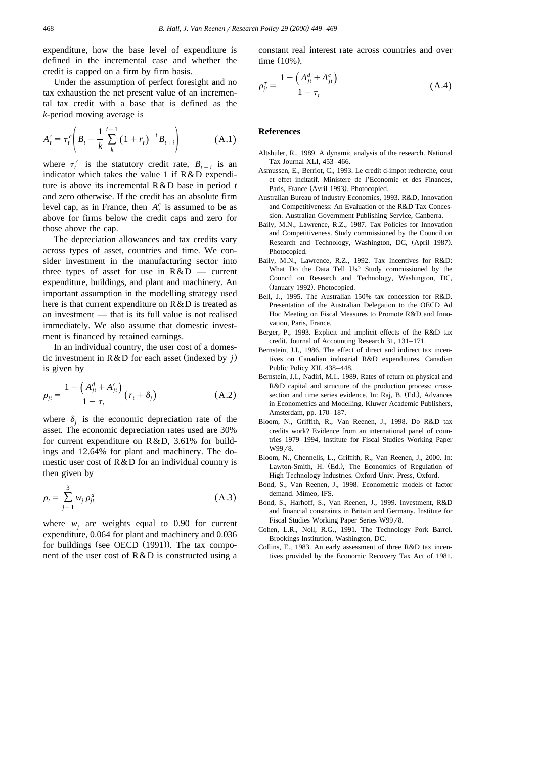expenditure, how the base level of expenditure is defined in the incremental case and whether the credit is capped on a firm by firm basis.

Under the assumption of perfect foresight and no tax exhaustion the net present value of an incremental tax credit with a base that is defined as the *k*-period moving average is

$$
A_t^c = \tau_t^c \left( B_t - \frac{1}{k} \sum_{k}^{i=1} (1 + r_t)^{-i} B_{t+i} \right) \tag{A.1}
$$

where  $\tau_i^c$  is the statutory credit rate,  $B_{t+i}$  is an indicator which takes the value 1 if  $R&D$  expenditure is above its incremental R&D base in period *t* and zero otherwise. If the credit has an absolute firm level cap, as in France, then  $A_t^c$  is assumed to be as above for firms below the credit caps and zero for those above the cap.

The depreciation allowances and tax credits vary across types of asset, countries and time. We consider investment in the manufacturing sector into three types of asset for use in  $R&D$  — current expenditure, buildings, and plant and machinery. An important assumption in the modelling strategy used here is that current expenditure on  $R & D$  is treated as an investment — that is its full value is not realised immediately. We also assume that domestic investment is financed by retained earnings.

In an individual country, the user cost of a domestic investment in  $R & D$  for each asset (indexed by *j*) is given by

$$
\rho_{jt} = \frac{1 - \left(A_{jt}^d + A_{jt}^c\right)}{1 - \tau_t} \left(r_t + \delta_j\right) \tag{A.2}
$$

where  $\delta_i$  is the economic depreciation rate of the asset. The economic depreciation rates used are 30% for current expenditure on R&D, 3.61% for buildings and 12.64% for plant and machinery. The domestic user cost of  $R\&D$  for an individual country is then given by

$$
\rho_t = \sum_{j=1}^3 w_j \rho_{jt}^d \tag{A.3}
$$

where  $w_i$  are weights equal to 0.90 for current expenditure, 0.064 for plant and machinery and 0.036 for buildings (see OECD  $(1991)$ ). The tax component of the user cost of R&D is constructed using a constant real interest rate across countries and over  $time (10\%)$ .

$$
\rho_{jt}^{\tau} = \frac{1 - \left(A_{jt}^d + A_{jt}^c\right)}{1 - \tau_t}
$$
\n(A.4)

### **References**

- Altshuler, R., 1989. A dynamic analysis of the research. National Tax Journal XLI, 453–466.
- Asmussen, E., Berriot, C., 1993. Le credit d-impot recherche, cout et effet incitatif. Ministere de l'Economie et des Finances, Paris, France (Avril 1993). Photocopied.
- Australian Bureau of Industry Economics, 1993. R&D, Innovation and Competitiveness: An Evaluation of the R&D Tax Concession. Australian Government Publishing Service, Canberra.
- Baily, M.N., Lawrence, R.Z., 1987. Tax Policies for Innovation and Competitiveness. Study commissioned by the Council on Research and Technology, Washington, DC, (April 1987). Photocopied.
- Baily, M.N., Lawrence, R.Z., 1992. Tax Incentives for R&D: What Do the Data Tell Us? Study commissioned by the Council on Research and Technology, Washington, DC, (January 1992). Photocopied.
- Bell, J., 1995. The Australian 150% tax concession for R&D. Presentation of the Australian Delegation to the OECD Ad Hoc Meeting on Fiscal Measures to Promote R&D and Innovation, Paris, France.
- Berger, P., 1993. Explicit and implicit effects of the R&D tax credit. Journal of Accounting Research 31, 131–171.
- Bernstein, J.I., 1986. The effect of direct and indirect tax incentives on Canadian industrial R&D expenditures. Canadian Public Policy XII, 438–448.
- Bernstein, J.I., Nadiri, M.I., 1989. Rates of return on physical and R&D capital and structure of the production process: crosssection and time series evidence. In: Raj, B. (Ed.), Advances in Econometrics and Modelling. Kluwer Academic Publishers, Amsterdam, pp. 170–187.
- Bloom, N., Griffith, R., Van Reenen, J., 1998. Do R&D tax credits work? Evidence from an international panel of countries 1979–1994, Institute for Fiscal Studies Working Paper W99/8.
- Bloom, N., Chennells, L., Griffith, R., Van Reenen, J., 2000. In: Lawton-Smith, H. (Ed.), The Economics of Regulation of High Technology Industries. Oxford Univ. Press, Oxford.
- Bond, S., Van Reenen, J., 1998. Econometric models of factor demand. Mimeo, IFS.
- Bond, S., Harhoff, S., Van Reenen, J., 1999. Investment, R&D and financial constraints in Britain and Germany. Institute for Fiscal Studies Working Paper Series W99/8.
- Cohen, L.R., Noll, R.G., 1991. The Technology Pork Barrel. Brookings Institution, Washington, DC.
- Collins, E., 1983. An early assessment of three R&D tax incentives provided by the Economic Recovery Tax Act of 1981.